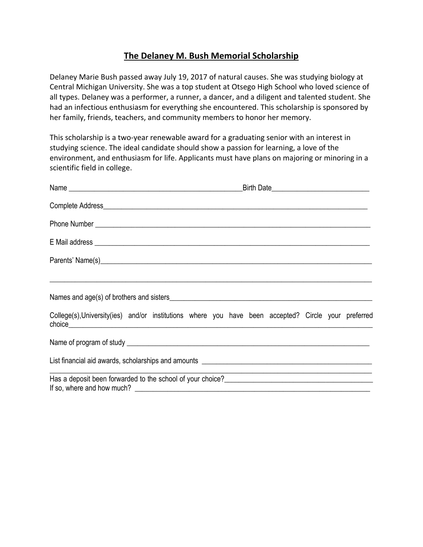## **The Delaney M. Bush Memorial Scholarship**

Delaney Marie Bush passed away July 19, 2017 of natural causes. She was studying biology at Central Michigan University. She was a top student at Otsego High School who loved science of all types. Delaney was a performer, a runner, a dancer, and a diligent and talented student. She had an infectious enthusiasm for everything she encountered. This scholarship is sponsored by her family, friends, teachers, and community members to honor her memory.

This scholarship is a two-year renewable award for a graduating senior with an interest in studying science. The ideal candidate should show a passion for learning, a love of the environment, and enthusiasm for life. Applicants must have plans on majoring or minoring in a scientific field in college.

| <u> 1990 - John Stone, Amerikaansk politiker (* 1900)</u>                                                                       |  |  |  |  |                                                             |  |  |  |
|---------------------------------------------------------------------------------------------------------------------------------|--|--|--|--|-------------------------------------------------------------|--|--|--|
| College(s), University (ies) and/or institutions where you have been accepted? Circle your preferred                            |  |  |  |  |                                                             |  |  |  |
|                                                                                                                                 |  |  |  |  |                                                             |  |  |  |
|                                                                                                                                 |  |  |  |  |                                                             |  |  |  |
| Has a deposit been forwarded to the school of your choice?<br><u>Las a deposit been forwarded to the school of your choice?</u> |  |  |  |  | <u> 1989 - Johann Stoff, amerikansk politiker (d. 1989)</u> |  |  |  |